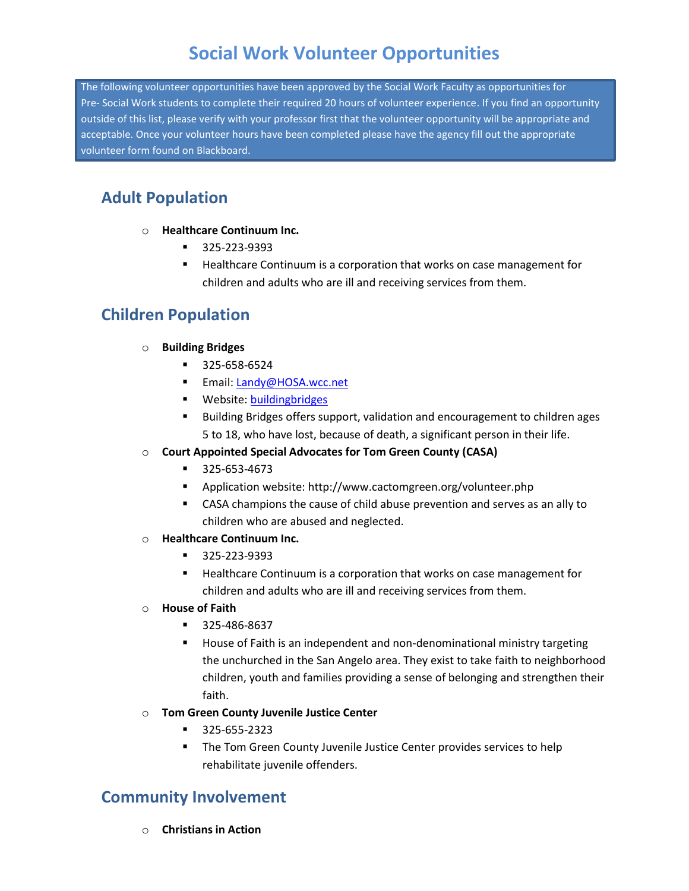# **Social Work Volunteer Opportunities**

The following volunteer opportunities have been approved by the Social Work Faculty as opportunities for Pre- Social Work students to complete their required 20 hours of volunteer experience. If you find an opportunity outside of this list, please verify with your professor first that the volunteer opportunity will be appropriate and acceptable. Once your volunteer hours have been completed please have the agency fill out the appropriate volunteer form found on Blackboard.

## **Adult Population**

- o **Healthcare Continuum Inc.**
	- 325-223-9393
	- Healthcare Continuum is a corporation that works on case management for children and adults who are ill and receiving services from them.

### **Children Population**

#### o **Building Bridges**

- 325-658-6524
- Email: [Landy@HOSA.wcc.net](mailto:Landy@HOSA.wcc.net)
- **Website[: buildingbridges](http://www.hospiceofsanangelo.org/buildingbridges.html)**
- **Building Bridges offers support, validation and encouragement to children ages** 5 to 18, who have lost, because of death, a significant person in their life.

#### o **Court Appointed Special Advocates for Tom Green County (CASA)**

- 325-653-4673
- Application website: http://www.cactomgreen.org/volunteer.php
- CASA champions the cause of child abuse prevention and serves as an ally to children who are abused and neglected.

#### o **Healthcare Continuum Inc.**

- 325-223-9393
- Healthcare Continuum is a corporation that works on case management for children and adults who are ill and receiving services from them.

#### o **House of Faith**

- 325-486-8637
- House of Faith is an independent and non-denominational ministry targeting the unchurched in the San Angelo area. They exist to take faith to neighborhood children, youth and families providing a sense of belonging and strengthen their faith.
- o **Tom Green County Juvenile Justice Center**
	- 325-655-2323
	- The Tom Green County Juvenile Justice Center provides services to help rehabilitate juvenile offenders.

### **Community Involvement**

o **Christians in Action**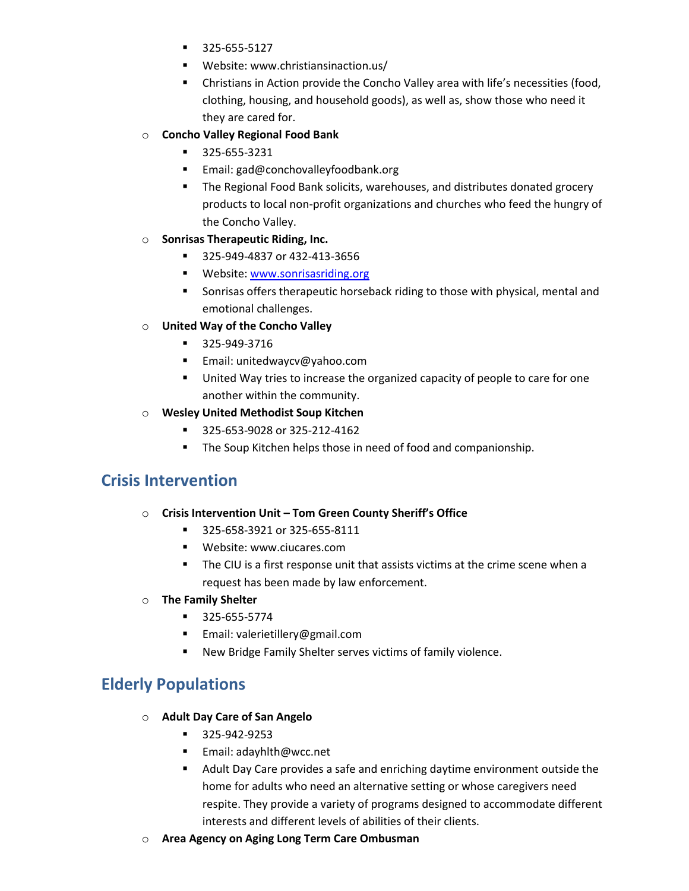- 325-655-5127
- Website: www.christiansinaction.us/
- Christians in Action provide the Concho Valley area with life's necessities (food, clothing, housing, and household goods), as well as, show those who need it they are cared for.
- o **Concho Valley Regional Food Bank**
	- 325-655-3231
	- Email: gad@conchovalleyfoodbank.org
	- The Regional Food Bank solicits, warehouses, and distributes donated grocery products to local non-profit organizations and churches who feed the hungry of the Concho Valley.
- o **Sonrisas Therapeutic Riding, Inc.**
	- 325-949-4837 or 432-413-3656
	- **Website[: www.sonrisasriding.org](http://www.sonrisasriding.org/)**
	- **Sonrisas offers therapeutic horseback riding to those with physical, mental and** emotional challenges.
- o **United Way of the Concho Valley**
	- 325-949-3716
	- **Email: unitedwaycv@yahoo.com**
	- United Way tries to increase the organized capacity of people to care for one another within the community.
- o **Wesley United Methodist Soup Kitchen**
	- 325-653-9028 or 325-212-4162
	- **The Soup Kitchen helps those in need of food and companionship.**

### **Crisis Intervention**

- o **Crisis Intervention Unit – Tom Green County Sheriff's Office**
	- 325-658-3921 or 325-655-8111
	- Website: www.ciucares.com
	- The CIU is a first response unit that assists victims at the crime scene when a request has been made by law enforcement.
- o **The Family Shelter**
	- 325-655-5774
	- Email: valerietillery@gmail.com
	- New Bridge Family Shelter serves victims of family violence.

### **Elderly Populations**

- o **Adult Day Care of San Angelo**
	- 325-942-9253
	- Email: adayhlth@wcc.net
	- Adult Day Care provides a safe and enriching daytime environment outside the home for adults who need an alternative setting or whose caregivers need respite. They provide a variety of programs designed to accommodate different interests and different levels of abilities of their clients.
- o **Area Agency on Aging Long Term Care Ombusman**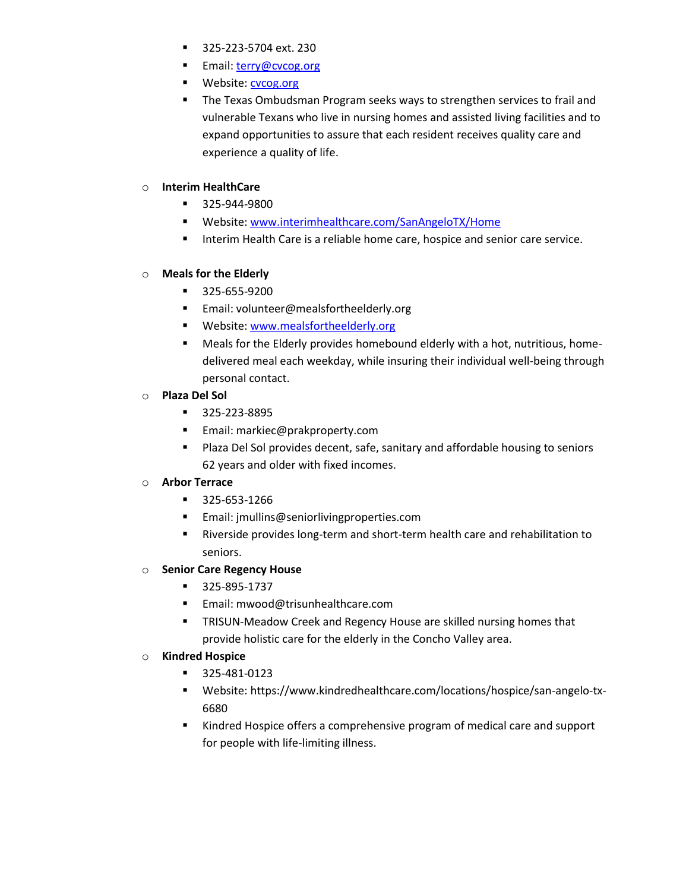- **325-223-5704 ext. 230**
- Email: [terry@cvcog.org](mailto:terry@cvcog.org)
- **Website:** [cvcog.org](http://www.cvcog.org/cvcog/aaa.html)
- The Texas Ombudsman Program seeks ways to strengthen services to frail and vulnerable Texans who live in nursing homes and assisted living facilities and to expand opportunities to assure that each resident receives quality care and experience a quality of life.

#### o **Interim HealthCare**

- 325-944-9800
- Website[: www.interimhealthcare.com/SanAngeloTX/Home](file://///fileserve2/FacStaff/Psychology/sseidel1/Volunteer%20list/www.interimhealthcare.com/SanAngeloTX/Home)
- **Interim Health Care is a reliable home care, hospice and senior care service.**

#### o **Meals for the Elderly**

- 325-655-9200
- **Email: volunteer@mealsfortheelderly.org**
- **Website[: www.mealsfortheelderly.org](http://www.mealsfortheelderly.org/)**
- Meals for the Elderly provides homebound elderly with a hot, nutritious, homedelivered meal each weekday, while insuring their individual well-being through personal contact.

#### o **Plaza Del Sol**

- 325-223-8895
- **Email: markiec@prakproperty.com**
- **Plaza Del Sol provides decent, safe, sanitary and affordable housing to seniors** 62 years and older with fixed incomes.

#### o **Arbor Terrace**

- 325-653-1266
- Email: jmullins@seniorlivingproperties.com
- Riverside provides long-term and short-term health care and rehabilitation to seniors.

#### o **Senior Care Regency House**

- 325-895-1737
- Email: mwood@trisunhealthcare.com
- **TRISUN-Meadow Creek and Regency House are skilled nursing homes that** provide holistic care for the elderly in the Concho Valley area.

#### o **Kindred Hospice**

- 325-481-0123
- Website: https://www.kindredhealthcare.com/locations/hospice/san-angelo-tx-6680
- Kindred Hospice offers a comprehensive program of medical care and support for people with life-limiting illness.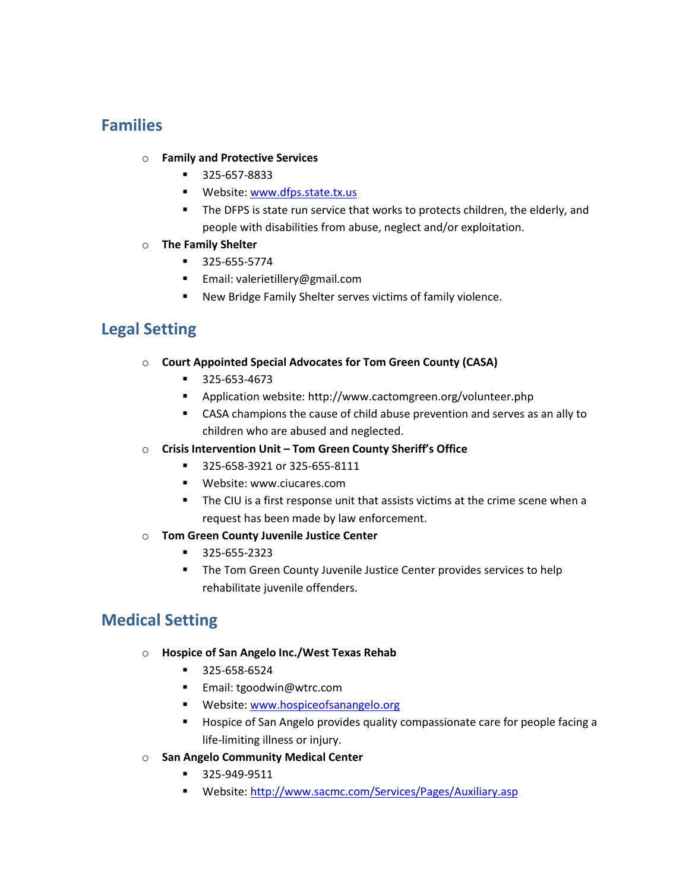### **Families**

#### o **Family and Protective Services**

- 325-657-8833
- **Website[: www.dfps.state.tx.us](http://www.dfps.state.tx.us/)**
- The DFPS is state run service that works to protects children, the elderly, and people with disabilities from abuse, neglect and/or exploitation.

#### o **The Family Shelter**

- 325-655-5774
- Email: valerietillery@gmail.com
- New Bridge Family Shelter serves victims of family violence.

### **Legal Setting**

#### o **Court Appointed Special Advocates for Tom Green County (CASA)**

- 325-653-4673
- Application website: http://www.cactomgreen.org/volunteer.php
- CASA champions the cause of child abuse prevention and serves as an ally to children who are abused and neglected.
- o **Crisis Intervention Unit – Tom Green County Sheriff's Office**
	- 325-658-3921 or 325-655-8111
	- Website: www.ciucares.com
	- The CIU is a first response unit that assists victims at the crime scene when a request has been made by law enforcement.
- o **Tom Green County Juvenile Justice Center**
	- 325-655-2323
	- **The Tom Green County Juvenile Justice Center provides services to help** rehabilitate juvenile offenders.

### **Medical Setting**

- o **Hospice of San Angelo Inc./West Texas Rehab**
	- 325-658-6524
	- Email: tgoodwin@wtrc.com
	- Website[: www.hospiceofsanangelo.org](http://www.hospiceofsanangelo.org/)
	- Hospice of San Angelo provides quality compassionate care for people facing a life-limiting illness or injury.
- o **San Angelo Community Medical Center**
	- 325-949-9511
	- Website[: http://www.sacmc.com/Services/Pages/Auxiliary.asp](http://www.sacmc.com/Services/Pages/Auxiliary.asp)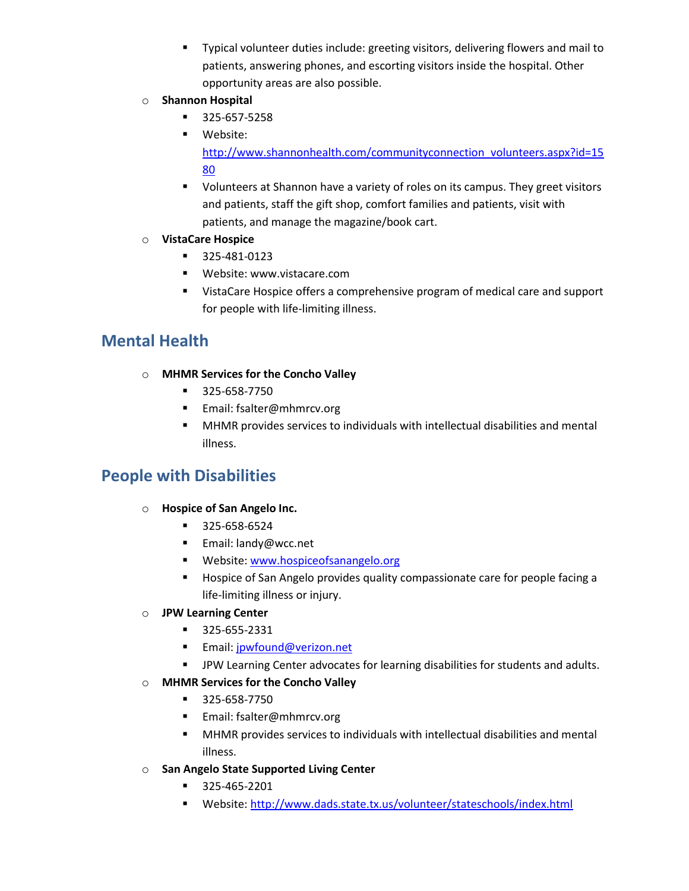- Typical volunteer duties include: greeting visitors, delivering flowers and mail to patients, answering phones, and escorting visitors inside the hospital. Other opportunity areas are also possible.
- o **Shannon Hospital**
	- 325-657-5258
	- Website: [http://www.shannonhealth.com/communityconnection\\_volunteers.aspx?id=15](http://www.shannonhealth.com/communityconnection_volunteers.aspx?id=1580) [80](http://www.shannonhealth.com/communityconnection_volunteers.aspx?id=1580)
	- Volunteers at Shannon have a variety of roles on its campus. They greet visitors and patients, staff the gift shop, comfort families and patients, visit with patients, and manage the magazine/book cart.

### o **VistaCare Hospice**

- 325-481-0123
- **Website: www.vistacare.com**
- **UistaCare Hospice offers a comprehensive program of medical care and support** for people with life-limiting illness.

## **Mental Health**

- o **MHMR Services for the Concho Valley**
	- 325-658-7750
	- Email: fsalter@mhmrcv.org
	- MHMR provides services to individuals with intellectual disabilities and mental illness.

## **People with Disabilities**

### o **Hospice of San Angelo Inc.**

- 325-658-6524
- Email: landy@wcc.net
- **Website[: www.hospiceofsanangelo.org](http://www.hospiceofsanangelo.org/)**
- Hospice of San Angelo provides quality compassionate care for people facing a life-limiting illness or injury.

### o **JPW Learning Center**

- 325-655-2331
- **Email:** [jpwfound@verizon.net](mailto:jpwfound@verizon.net)
- **F** JPW Learning Center advocates for learning disabilities for students and adults.
- o **MHMR Services for the Concho Valley**
	- 325-658-7750
	- Email: fsalter@mhmrcv.org
	- MHMR provides services to individuals with intellectual disabilities and mental illness.
- o **San Angelo State Supported Living Center**
	- 325-465-2201
	- Website[: http://www.dads.state.tx.us/volunteer/stateschools/index.html](http://www.dads.state.tx.us/volunteer/stateschools/index.html)